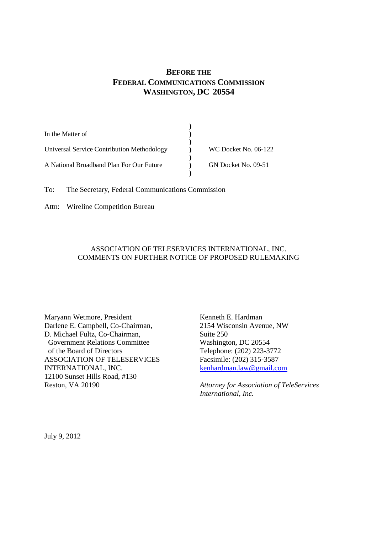# **BEFORE THE FEDERAL COMMUNICATIONS COMMISSION WASHINGTON, DC 20554**

**)**

| In the Matter of                           |                      |  |
|--------------------------------------------|----------------------|--|
| Universal Service Contribution Methodology | WC Docket No. 06-122 |  |
| A National Broadband Plan For Our Future   | GN Docket No. 09-51  |  |
|                                            |                      |  |

To: The Secretary, Federal Communications Commission

Attn: Wireline Competition Bureau

# ASSOCIATION OF TELESERVICES INTERNATIONAL, INC. COMMENTS ON FURTHER NOTICE OF PROPOSED RULEMAKING

Maryann Wetmore, President Kenneth E. Hardman Darlene E. Campbell, Co-Chairman, 2154 Wisconsin Avenue, NW D. Michael Fultz, Co-Chairman, Suite 250 Government Relations Committee Washington, DC 20554 of the Board of Directors Telephone: (202) 223-3772 ASSOCIATION OF TELESERVICES Facsimile: (202) 315-3587 INTERNATIONAL, INC. kenhardman.law@gmail.com 12100 Sunset Hills Road, #130 Reston, VA 20190 *Attorney for Association of TeleServices*

*International, Inc.*

July 9, 2012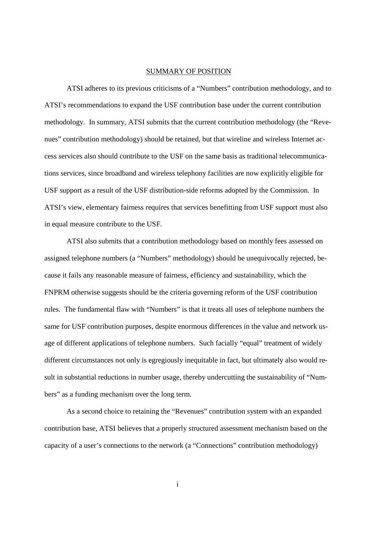#### SUMMARY OF POSITION

ATSI adheres to its previous criticisms of a "Numbers" contribution methodology, and to ATSI's recommendations to expand the USF contribution base under the current contribution methodology. In summary, ATSI submits that the current contribution methodology (the "Revenues" contribution methodology) should be retained, but that wireline and wireless Internet access services also should contribute to the USF on the same basis as traditional telecommunications services, since broadband and wireless telephony facilities are now explicitly eligible for USF support as a result of the USF distribution-side reforms adopted by the Commission. In ATSI's view, elementary fairness requires that services benefitting from USF support must also in equal measure contribute to the USF.

ATSI also submits that a contribution methodology based on monthly fees assessed on assigned telephone numbers (a "Numbers" methodology) should be unequivocally rejected, because it fails any reasonable measure of fairness, efficiency and sustainability, which the FNPRM otherwise suggests should be the criteria governing reform of the USF contribution rules. The fundamental flaw with "Numbers" is that it treats all uses of telephone numbers the same for USF contribution purposes, despite enormous differences in the value and network usage of different applications of telephone numbers. Such facially "equal" treatment of widely different circumstances not only is egregiously inequitable in fact, but ultimately also would result in substantial reductions in number usage, thereby undercutting the sustainability of "Numbers" as a funding mechanism over the long term.

As a second choice to retaining the "Revenues" contribution system with an expanded contribution base, ATSI believes that a properly structured assessment mechanism based on the capacity of a user's connections to the network (a "Connections" contribution methodology)

i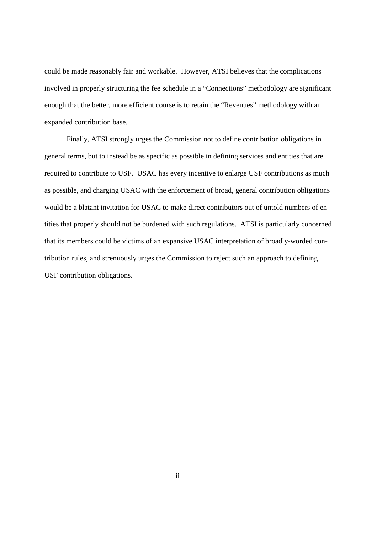could be made reasonably fair and workable. However, ATSI believes that the complications involved in properly structuring the fee schedule in a "Connections" methodology are significant enough that the better, more efficient course is to retain the "Revenues" methodology with an expanded contribution base.

Finally, ATSI strongly urges the Commission not to define contribution obligations in general terms, but to instead be as specific as possible in defining services and entities that are required to contribute to USF. USAC has every incentive to enlarge USF contributions as much as possible, and charging USAC with the enforcement of broad, general contribution obligations would be a blatant invitation for USAC to make direct contributors out of untold numbers of entities that properly should not be burdened with such regulations. ATSI is particularly concerned that its members could be victims of an expansive USAC interpretation of broadly-worded contribution rules, and strenuously urges the Commission to reject such an approach to defining USF contribution obligations.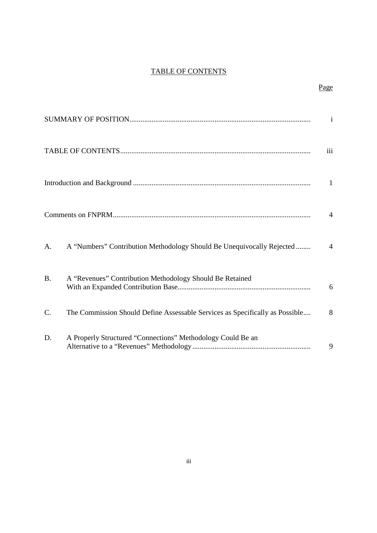# TABLE OF CONTENTS

Page

|           |                                                                              | $\mathbf{i}$   |
|-----------|------------------------------------------------------------------------------|----------------|
|           |                                                                              | iii            |
|           |                                                                              | 1              |
|           |                                                                              | $\overline{4}$ |
| A.        | A "Numbers" Contribution Methodology Should Be Unequivocally Rejected        | $\overline{4}$ |
| <b>B.</b> | A "Revenues" Contribution Methodology Should Be Retained                     | 6              |
| C.        | The Commission Should Define Assessable Services as Specifically as Possible | 8              |
| D.        | A Properly Structured "Connections" Methodology Could Be an                  | 9              |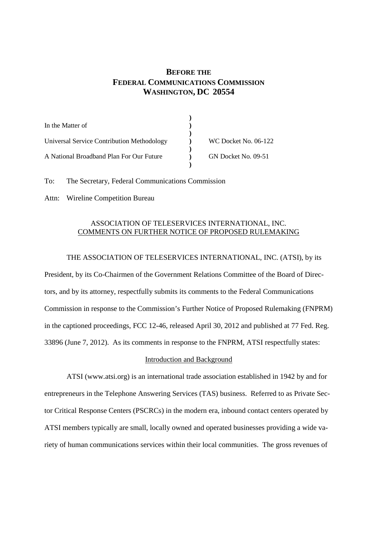# **BEFORE THE FEDERAL COMMUNICATIONS COMMISSION WASHINGTON, DC 20554**

| In the Matter of                           |                      |
|--------------------------------------------|----------------------|
|                                            |                      |
| Universal Service Contribution Methodology | WC Docket No. 06-122 |
|                                            |                      |
| A National Broadband Plan For Our Future   | GN Docket No. 09-51  |
|                                            |                      |

To: The Secretary, Federal Communications Commission

Attn: Wireline Competition Bureau

## ASSOCIATION OF TELESERVICES INTERNATIONAL, INC. COMMENTS ON FURTHER NOTICE OF PROPOSED RULEMAKING

## THE ASSOCIATION OF TELESERVICES INTERNATIONAL, INC. (ATSI), by its

President, by its Co-Chairmen of the Government Relations Committee of the Board of Directors, and by its attorney, respectfully submits its comments to the Federal Communications Commission in response to the Commission's Further Notice of Proposed Rulemaking (FNPRM) in the captioned proceedings, FCC 12-46, released April 30, 2012 and published at 77 Fed. Reg. 33896 (June 7, 2012). As its comments in response to the FNPRM, ATSI respectfully states:

### Introduction and Background

ATSI (www.atsi.org) is an international trade association established in 1942 by and for entrepreneurs in the Telephone Answering Services (TAS) business. Referred to as Private Sector Critical Response Centers (PSCRCs) in the modern era, inbound contact centers operated by ATSI members typically are small, locally owned and operated businesses providing a wide variety of human communications services within their local communities. The gross revenues of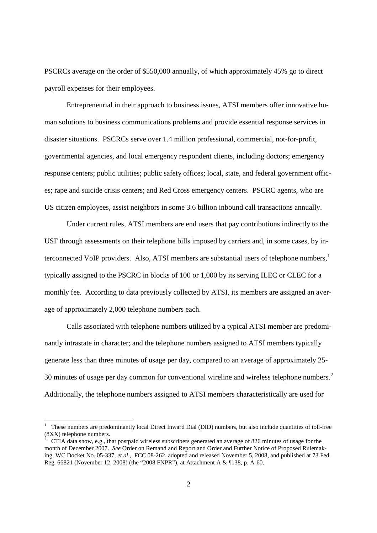PSCRCs average on the order of \$550,000 annually, of which approximately 45% go to direct payroll expenses for their employees.

Entrepreneurial in their approach to business issues, ATSI members offer innovative human solutions to business communications problems and provide essential response services in disaster situations. PSCRCs serve over 1.4 million professional, commercial, not-for-profit, governmental agencies, and local emergency respondent clients, including doctors; emergency response centers; public utilities; public safety offices; local, state, and federal government offices; rape and suicide crisis centers; and Red Cross emergency centers. PSCRC agents, who are US citizen employees, assist neighbors in some 3.6 billion inbound call transactions annually.

Under current rules, ATSI members are end users that pay contributions indirectly to the USF through assessments on their telephone bills imposed by carriers and, in some cases, by interconnected VoIP providers. Also, ATSI members are substantial users of telephone numbers, $<sup>1</sup>$ </sup> typically assigned to the PSCRC in blocks of 100 or 1,000 by its serving ILEC or CLEC for a monthly fee. According to data previously collected by ATSI, its members are assigned an average of approximately 2,000 telephone numbers each.

Calls associated with telephone numbers utilized by a typical ATSI member are predominantly intrastate in character; and the telephone numbers assigned to ATSI members typically generate less than three minutes of usage per day, compared to an average of approximately 25- 30 minutes of usage per day common for conventional wireline and wireless telephone numbers.<sup>2</sup> Additionally, the telephone numbers assigned to ATSI members characteristically are used for

<sup>1</sup> These numbers are predominantly local Direct Inward Dial (DID) numbers, but also include quantities of toll-free (8XX) telephone numbers.

<sup>2</sup> CTIA data show, e.g., that postpaid wireless subscribers generated an average of 826 minutes of usage for the month of December 2007. *See* Order on Remand and Report and Order and Further Notice of Proposed Rulemaking, WC Docket No. 05-337, *et al.,*, FCC 08-262, adopted and released November 5, 2008, and published at 73 Fed. Reg. 66821 (November 12, 2008) (the "2008 FNPR"), at Attachment A & ¶138, p. A-60.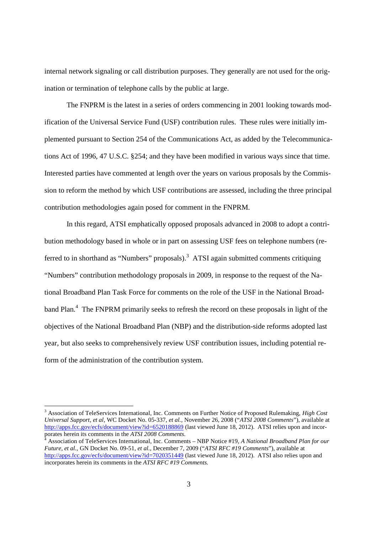internal network signaling or call distribution purposes. They generally are not used for the origination or termination of telephone calls by the public at large.

The FNPRM is the latest in a series of orders commencing in 2001 looking towards modification of the Universal Service Fund (USF) contribution rules. These rules were initially implemented pursuant to Section 254 of the Communications Act, as added by the Telecommunications Act of 1996, 47 U.S.C. §254; and they have been modified in various ways since that time. Interested parties have commented at length over the years on various proposals by the Commission to reform the method by which USF contributions are assessed, including the three principal contribution methodologies again posed for comment in the FNPRM.

In this regard, ATSI emphatically opposed proposals advanced in 2008 to adopt a contribution methodology based in whole or in part on assessing USF fees on telephone numbers (referred to in shorthand as "Numbers" proposals).<sup>3</sup> ATSI again submitted comments critiquing "Numbers" contribution methodology proposals in 2009, in response to the request of the National Broadband Plan Task Force for comments on the role of the USF in the National Broadband Plan.<sup>4</sup> The FNPRM primarily seeks to refresh the record on these proposals in light of the objectives of the National Broadband Plan (NBP) and the distribution-side reforms adopted last year, but also seeks to comprehensively review USF contribution issues, including potential reform of the administration of the contribution system.

<sup>3</sup> Association of TeleServices International, Inc. Comments on Further Notice of Proposed Rulemaking, *High Cost Universal Support, et al,* WC Docket No. 05-337, *et al.,* November 26, 2008 ("*ATSI 2008 Comments*"), available at http://apps.fcc.gov/ecfs/document/view?id=6520188869 (last viewed June 18, 2012). ATSI relies upon and incorporates herein its comments in the *ATSI 2008 Comments.*

<sup>4</sup> Association of TeleServices International, Inc. Comments – NBP Notice #19, *A National Broadband Plan for our Future, et al.,* GN Docket No. 09-51, *et al.,* December 7, 2009 ("*ATSI RFC #19 Comments*"), available at http://apps.fcc.gov/ecfs/document/view?id=7020351449 (last viewed June 18, 2012). ATSI also relies upon and incorporates herein its comments in the *ATSI RFC #19 Comments.*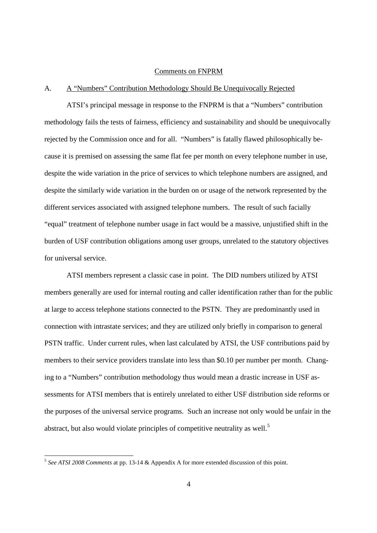#### Comments on FNPRM

# A. A "Numbers" Contribution Methodology Should Be Unequivocally Rejected

ATSI's principal message in response to the FNPRM is that a "Numbers" contribution methodology fails the tests of fairness, efficiency and sustainability and should be unequivocally rejected by the Commission once and for all. "Numbers" is fatally flawed philosophically because it is premised on assessing the same flat fee per month on every telephone number in use, despite the wide variation in the price of services to which telephone numbers are assigned, and despite the similarly wide variation in the burden on or usage of the network represented by the different services associated with assigned telephone numbers. The result of such facially "equal" treatment of telephone number usage in fact would be a massive, unjustified shift in the burden of USF contribution obligations among user groups, unrelated to the statutory objectives for universal service.

ATSI members represent a classic case in point. The DID numbers utilized by ATSI members generally are used for internal routing and caller identification rather than for the public at large to access telephone stations connected to the PSTN. They are predominantly used in connection with intrastate services; and they are utilized only briefly in comparison to general PSTN traffic. Under current rules, when last calculated by ATSI, the USF contributions paid by members to their service providers translate into less than \$0.10 per number per month. Changing to a "Numbers" contribution methodology thus would mean a drastic increase in USF assessments for ATSI members that is entirely unrelated to either USF distribution side reforms or the purposes of the universal service programs. Such an increase not only would be unfair in the abstract, but also would violate principles of competitive neutrality as well.<sup>5</sup>

<sup>5</sup> *See ATSI 2008 Comments* at pp. 13-14 & Appendix A for more extended discussion of this point.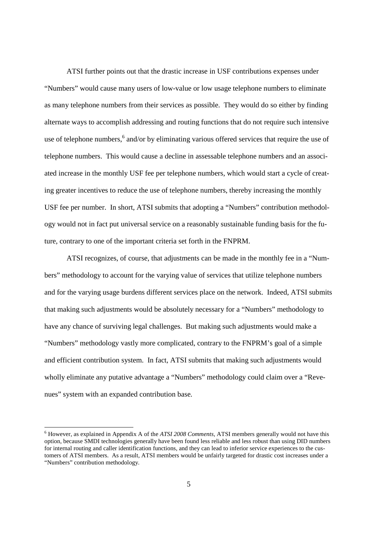ATSI further points out that the drastic increase in USF contributions expenses under "Numbers" would cause many users of low-value or low usage telephone numbers to eliminate as many telephone numbers from their services as possible. They would do so either by finding alternate ways to accomplish addressing and routing functions that do not require such intensive use of telephone numbers, <sup>6</sup> and/or by eliminating various offered services that require the use of telephone numbers. This would cause a decline in assessable telephone numbers and an associated increase in the monthly USF fee per telephone numbers, which would start a cycle of creating greater incentives to reduce the use of telephone numbers, thereby increasing the monthly USF fee per number. In short, ATSI submits that adopting a "Numbers" contribution methodology would not in fact put universal service on a reasonably sustainable funding basis for the future, contrary to one of the important criteria set forth in the FNPRM.

ATSI recognizes, of course, that adjustments can be made in the monthly fee in a "Numbers" methodology to account for the varying value of services that utilize telephone numbers and for the varying usage burdens different services place on the network. Indeed, ATSI submits that making such adjustments would be absolutely necessary for a "Numbers" methodology to have any chance of surviving legal challenges. But making such adjustments would make a "Numbers" methodology vastly more complicated, contrary to the FNPRM's goal of a simple and efficient contribution system. In fact, ATSI submits that making such adjustments would wholly eliminate any putative advantage a "Numbers" methodology could claim over a "Revenues" system with an expanded contribution base.

<sup>6</sup> However, as explained in Appendix A of the *ATSI 2008 Comments,* ATSI members generally would not have this option, because SMDI technologies generally have been found less reliable and less robust than using DID numbers for internal routing and caller identification functions, and they can lead to inferior service experiences to the customers of ATSI members. As a result, ATSI members would be unfairly targeted for drastic cost increases under a "Numbers" contribution methodology.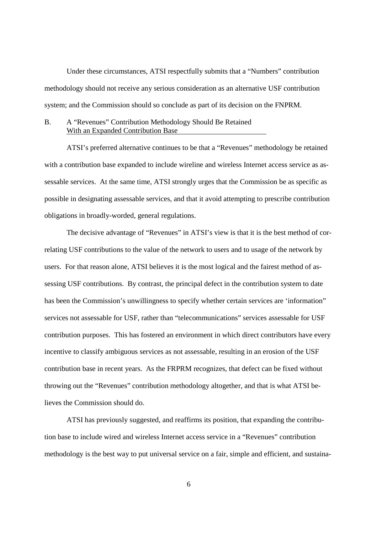Under these circumstances, ATSI respectfully submits that a "Numbers" contribution methodology should not receive any serious consideration as an alternative USF contribution system; and the Commission should so conclude as part of its decision on the FNPRM.

### B. A "Revenues" Contribution Methodology Should Be Retained With an Expanded Contribution Base

ATSI's preferred alternative continues to be that a "Revenues" methodology be retained with a contribution base expanded to include wireline and wireless Internet access service as assessable services. At the same time, ATSI strongly urges that the Commission be as specific as possible in designating assessable services, and that it avoid attempting to prescribe contribution obligations in broadly-worded, general regulations.

The decisive advantage of "Revenues" in ATSI's view is that it is the best method of correlating USF contributions to the value of the network to users and to usage of the network by users. For that reason alone, ATSI believes it is the most logical and the fairest method of assessing USF contributions. By contrast, the principal defect in the contribution system to date has been the Commission's unwillingness to specify whether certain services are 'information" services not assessable for USF, rather than "telecommunications" services assessable for USF contribution purposes. This has fostered an environment in which direct contributors have every incentive to classify ambiguous services as not assessable, resulting in an erosion of the USF contribution base in recent years. As the FRPRM recognizes, that defect can be fixed without throwing out the "Revenues" contribution methodology altogether, and that is what ATSI believes the Commission should do.

ATSI has previously suggested, and reaffirms its position, that expanding the contribution base to include wired and wireless Internet access service in a "Revenues" contribution methodology is the best way to put universal service on a fair, simple and efficient, and sustaina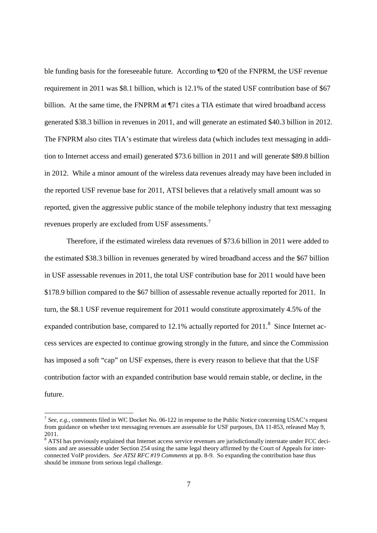ble funding basis for the foreseeable future. According to ¶20 of the FNPRM, the USF revenue requirement in 2011 was \$8.1 billion, which is 12.1% of the stated USF contribution base of \$67 billion. At the same time, the FNPRM at ¶71 cites a TIA estimate that wired broadband access generated \$38.3 billion in revenues in 2011, and will generate an estimated \$40.3 billion in 2012. The FNPRM also cites TIA's estimate that wireless data (which includes text messaging in addition to Internet access and email) generated \$73.6 billion in 2011 and will generate \$89.8 billion in 2012. While a minor amount of the wireless data revenues already may have been included in the reported USF revenue base for 2011, ATSI believes that a relatively small amount was so reported, given the aggressive public stance of the mobile telephony industry that text messaging revenues properly are excluded from USF assessments.<sup>7</sup>

Therefore, if the estimated wireless data revenues of \$73.6 billion in 2011 were added to the estimated \$38.3 billion in revenues generated by wired broadband access and the \$67 billion in USF assessable revenues in 2011, the total USF contribution base for 2011 would have been \$178.9 billion compared to the \$67 billion of assessable revenue actually reported for 2011. In turn, the \$8.1 USF revenue requirement for 2011 would constitute approximately 4.5% of the expanded contribution base, compared to 12.1% actually reported for  $2011$ .<sup>8</sup> Since Internet access services are expected to continue growing strongly in the future, and since the Commission has imposed a soft "cap" on USF expenses, there is every reason to believe that that the USF contribution factor with an expanded contribution base would remain stable, or decline, in the future.

<sup>&</sup>lt;sup>7</sup> See, e.g., comments filed in WC Docket No. 06-122 in response to the Public Notice concerning USAC's request from guidance on whether text messaging revenues are assessable for USF purposes, DA 11-853, released May 9, 2011.

<sup>&</sup>lt;sup>8</sup> ATSI has previously explained that Internet access service revenues are jurisdictionally interstate under FCC decisions and are assessable under Section 254 using the same legal theory affirmed by the Court of Appeals for interconnected VoIP providers. *See ATSI RFC #19 Comments* at pp. 8-9. So expanding the contribution base thus should be immune from serious legal challenge.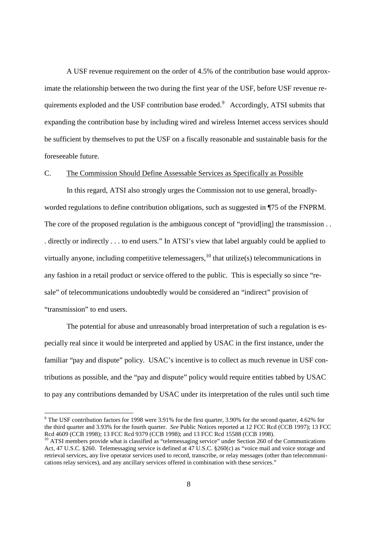A USF revenue requirement on the order of 4.5% of the contribution base would approximate the relationship between the two during the first year of the USF, before USF revenue requirements exploded and the USF contribution base eroded.<sup>9</sup> Accordingly, ATSI submits that expanding the contribution base by including wired and wireless Internet access services should be sufficient by themselves to put the USF on a fiscally reasonable and sustainable basis for the foreseeable future.

#### C. The Commission Should Define Assessable Services as Specifically as Possible

In this regard, ATSI also strongly urges the Commission not to use general, broadlyworded regulations to define contribution obligations, such as suggested in ¶75 of the FNPRM. The core of the proposed regulation is the ambiguous concept of "provid[ing] the transmission . . . directly or indirectly . . . to end users." In ATSI's view that label arguably could be applied to virtually anyone, including competitive telemessagers,  $^{10}$  that utilize(s) telecommunications in any fashion in a retail product or service offered to the public. This is especially so since "resale" of telecommunications undoubtedly would be considered an "indirect" provision of "transmission" to end users.

The potential for abuse and unreasonably broad interpretation of such a regulation is especially real since it would be interpreted and applied by USAC in the first instance, under the familiar "pay and dispute" policy. USAC's incentive is to collect as much revenue in USF contributions as possible, and the "pay and dispute" policy would require entities tabbed by USAC to pay any contributions demanded by USAC under its interpretation of the rules until such time

<sup>&</sup>lt;sup>9</sup> The USF contribution factors for 1998 were 3.91% for the first quarter, 3.90% for the second quarter, 4.62% for the third quarter and 3.93% for the fourth quarter. *See* Public Notices reported at 12 FCC Rcd (CCB 1997); 13 FCC Rcd 4609 (CCB 1998); 13 FCC Rcd 9379 (CCB 1998); and 13 FCC Rcd 15588 (CCB 1998).

<sup>&</sup>lt;sup>10</sup> ATSI members provide what is classified as "telemessaging service" under Section 260 of the Communications Act, 47 U.S.C. §260. Telemessaging service is defined at 47 U.S.C. §260(c) as "voice mail and voice storage and retrieval services, any live operator services used to record, transcribe, or relay messages (other than telecommunications relay services), and any ancillary services offered in combination with these services."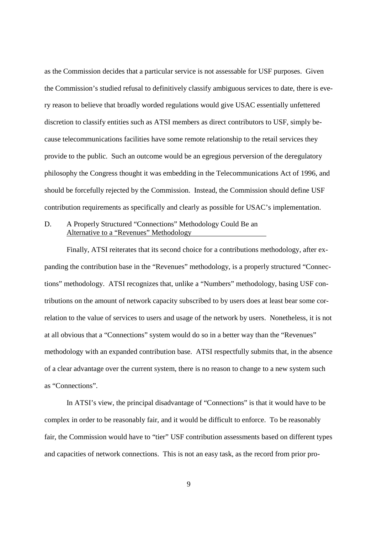as the Commission decides that a particular service is not assessable for USF purposes. Given the Commission's studied refusal to definitively classify ambiguous services to date, there is every reason to believe that broadly worded regulations would give USAC essentially unfettered discretion to classify entities such as ATSI members as direct contributors to USF, simply because telecommunications facilities have some remote relationship to the retail services they provide to the public. Such an outcome would be an egregious perversion of the deregulatory philosophy the Congress thought it was embedding in the Telecommunications Act of 1996, and should be forcefully rejected by the Commission. Instead, the Commission should define USF contribution requirements as specifically and clearly as possible for USAC's implementation.

## D. A Properly Structured "Connections" Methodology Could Be an Alternative to a "Revenues" Methodology

Finally, ATSI reiterates that its second choice for a contributions methodology, after expanding the contribution base in the "Revenues" methodology, is a properly structured "Connections" methodology. ATSI recognizes that, unlike a "Numbers" methodology, basing USF contributions on the amount of network capacity subscribed to by users does at least bear some correlation to the value of services to users and usage of the network by users. Nonetheless, it is not at all obvious that a "Connections" system would do so in a better way than the "Revenues" methodology with an expanded contribution base. ATSI respectfully submits that, in the absence of a clear advantage over the current system, there is no reason to change to a new system such as "Connections".

In ATSI's view, the principal disadvantage of "Connections" is that it would have to be complex in order to be reasonably fair, and it would be difficult to enforce. To be reasonably fair, the Commission would have to "tier" USF contribution assessments based on different types and capacities of network connections. This is not an easy task, as the record from prior pro